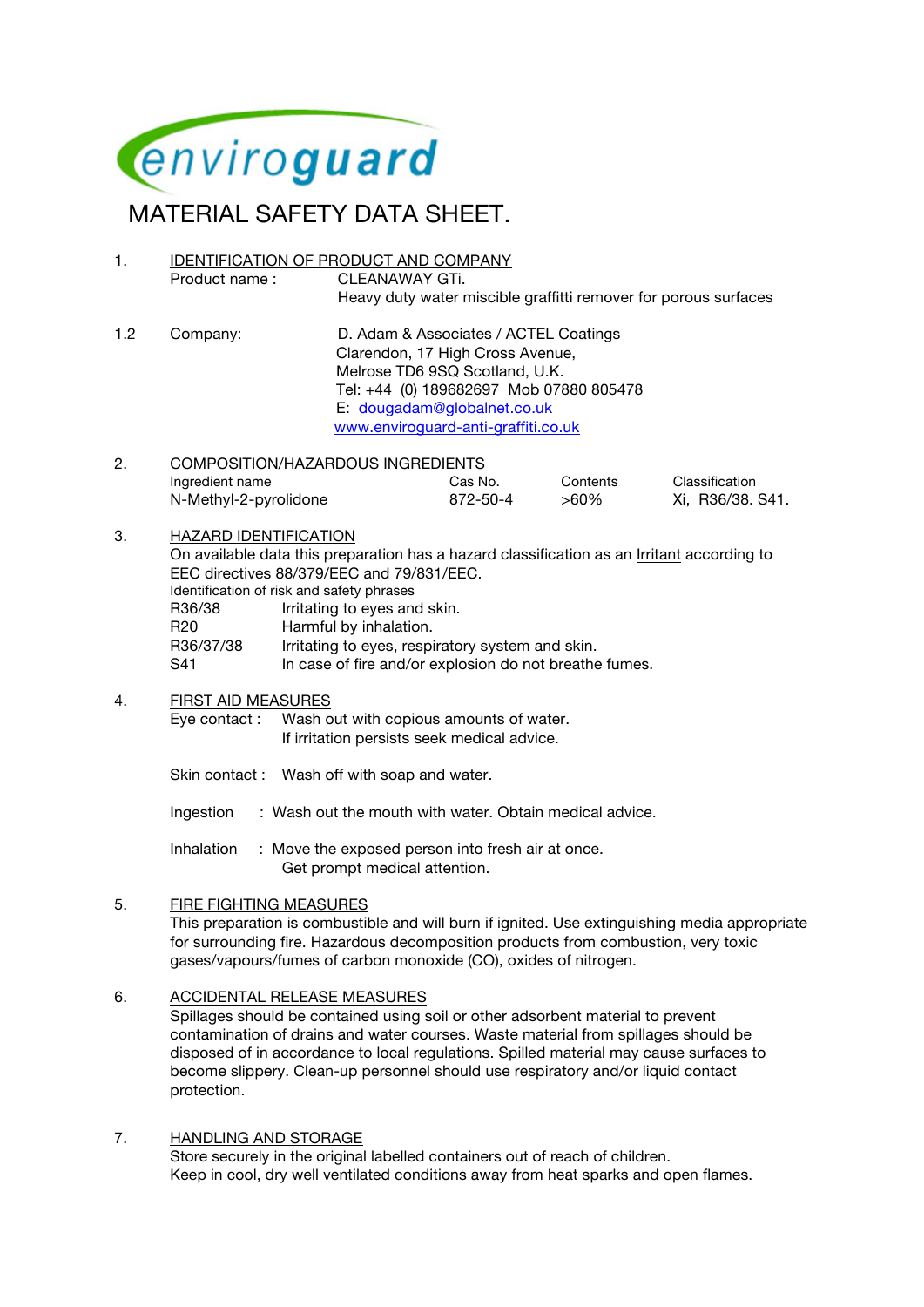

# MATERIAL SAFETY DATA SHEET.

- 1. IDENTIFICATION OF PRODUCT AND COMPANY Product name : CLEANAWAY GTi. Heavy duty water miscible graffitti remover for porous surfaces
- 1.2 Company: D. Adam & Associates / ACTEL Coatings Clarendon, 17 High Cross Avenue, Melrose TD6 9SQ Scotland, U.K. Tel: +44 (0) 189682697 Mob 07880 805478 E: dougadam@globalnet.co.uk www.enviroguard-anti-graffiti.co.uk
- 2. COMPOSITION/HAZARDOUS INGREDIENTS Ingredient name Cas No. Contents Classification N-Methyl-2-pyrolidone 872-50-4 >60% Xi, R36/38. S41.
- 3. HAZARD IDENTIFICATION On available data this preparation has a hazard classification as an Irritant according to  $FFA$  die  $88/379/EF$ C and  $79/831/EF$ C

| EEC directives 88/379/EEC and 79/831/EEC. |                                                        |  |  |  |  |
|-------------------------------------------|--------------------------------------------------------|--|--|--|--|
| Identification of risk and safety phrases |                                                        |  |  |  |  |
| R36/38                                    | Irritating to eyes and skin.                           |  |  |  |  |
| R <sub>20</sub>                           | Harmful by inhalation.                                 |  |  |  |  |
| R36/37/38                                 | Irritating to eyes, respiratory system and skin.       |  |  |  |  |
| S41                                       | In case of fire and/or explosion do not breathe fumes. |  |  |  |  |

### 4. FIRST AID MEASURES

Eye contact : Wash out with copious amounts of water. If irritation persists seek medical advice.

- Skin contact : Wash off with soap and water.
- Ingestion : Wash out the mouth with water. Obtain medical advice.

Inhalation : Move the exposed person into fresh air at once. Get prompt medical attention.

### 5. FIRE FIGHTING MEASURES

This preparation is combustible and will burn if ignited. Use extinguishing media appropriate for surrounding fire. Hazardous decomposition products from combustion, very toxic gases/vapours/fumes of carbon monoxide (CO), oxides of nitrogen.

### 6. ACCIDENTAL RELEASE MEASURES

Spillages should be contained using soil or other adsorbent material to prevent contamination of drains and water courses. Waste material from spillages should be disposed of in accordance to local regulations. Spilled material may cause surfaces to become slippery. Clean-up personnel should use respiratory and/or liquid contact protection.

7. HANDLING AND STORAGE Store securely in the original labelled containers out of reach of children. Keep in cool, dry well ventilated conditions away from heat sparks and open flames.